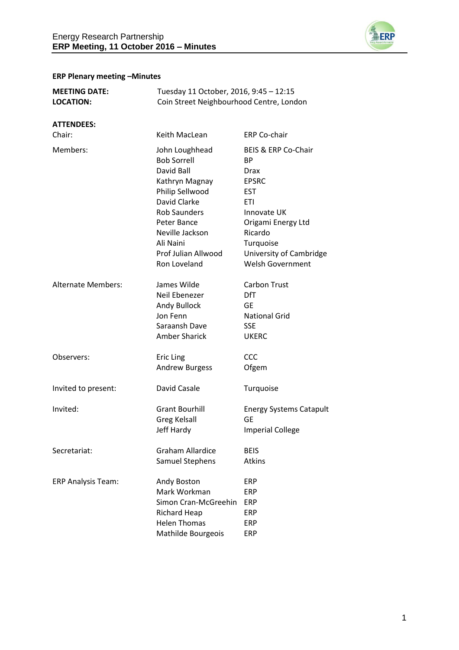

# **ERP Plenary meeting –Minutes**

| <b>MEETING DATE:</b><br><b>LOCATION:</b> |                                                                                                                                                                                                      | Tuesday 11 October, 2016, 9:45 - 12:15<br>Coin Street Neighbourhood Centre, London                                                                                    |  |
|------------------------------------------|------------------------------------------------------------------------------------------------------------------------------------------------------------------------------------------------------|-----------------------------------------------------------------------------------------------------------------------------------------------------------------------|--|
| <b>ATTENDEES:</b><br>Chair:              | Keith MacLean                                                                                                                                                                                        | <b>ERP Co-chair</b>                                                                                                                                                   |  |
| Members:                                 | John Loughhead<br><b>Bob Sorrell</b><br>David Ball<br>Kathryn Magnay<br>Philip Sellwood<br>David Clarke<br><b>Rob Saunders</b><br>Peter Bance<br>Neville Jackson<br>Ali Naini<br>Prof Julian Allwood | BEIS & ERP Co-Chair<br>ВP<br>Drax<br><b>EPSRC</b><br><b>EST</b><br><b>ETI</b><br>Innovate UK<br>Origami Energy Ltd<br>Ricardo<br>Turquoise<br>University of Cambridge |  |
| <b>Alternate Members:</b>                | Ron Loveland<br>James Wilde<br>Neil Ebenezer<br>Andy Bullock<br>Jon Fenn<br>Saraansh Dave<br><b>Amber Sharick</b>                                                                                    | <b>Welsh Government</b><br><b>Carbon Trust</b><br><b>DfT</b><br><b>GE</b><br><b>National Grid</b><br><b>SSE</b><br><b>UKERC</b>                                       |  |
| Observers:                               | <b>Eric Ling</b><br>Andrew Burgess                                                                                                                                                                   | CCC<br>Ofgem                                                                                                                                                          |  |
| Invited to present:                      | David Casale                                                                                                                                                                                         | Turquoise                                                                                                                                                             |  |
| Invited:                                 | <b>Grant Bourhill</b><br><b>Greg Kelsall</b><br><b>Jeff Hardy</b>                                                                                                                                    | <b>Energy Systems Catapult</b><br><b>GE</b><br><b>Imperial College</b>                                                                                                |  |
| Secretariat:                             | <b>Graham Allardice</b><br>Samuel Stephens                                                                                                                                                           | <b>BEIS</b><br>Atkins                                                                                                                                                 |  |
| <b>ERP Analysis Team:</b>                | Andy Boston<br>Mark Workman<br>Simon Cran-McGreehin<br><b>Richard Heap</b><br><b>Helen Thomas</b><br>Mathilde Bourgeois                                                                              | ERP<br><b>ERP</b><br><b>ERP</b><br>ERP<br>ERP<br>ERP                                                                                                                  |  |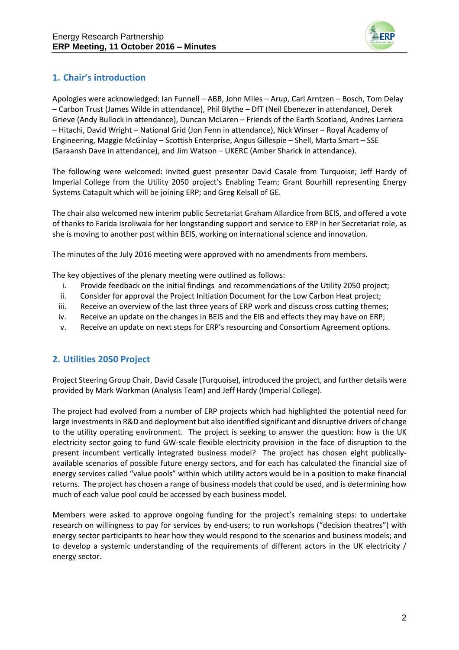

# **1. Chair's introduction**

Apologies were acknowledged: Ian Funnell – ABB, John Miles – Arup, Carl Arntzen – Bosch, Tom Delay – Carbon Trust (James Wilde in attendance), Phil Blythe – DfT (Neil Ebenezer in attendance), Derek Grieve (Andy Bullock in attendance), Duncan McLaren – Friends of the Earth Scotland, Andres Larriera – Hitachi, David Wright – National Grid (Jon Fenn in attendance), Nick Winser – Royal Academy of Engineering, Maggie McGinlay – Scottish Enterprise, Angus Gillespie – Shell, Marta Smart – SSE (Saraansh Dave in attendance), and Jim Watson – UKERC (Amber Sharick in attendance).

The following were welcomed: invited guest presenter David Casale from Turquoise; Jeff Hardy of Imperial College from the Utility 2050 project's Enabling Team; Grant Bourhill representing Energy Systems Catapult which will be joining ERP; and Greg Kelsall of GE.

The chair also welcomed new interim public Secretariat Graham Allardice from BEIS, and offered a vote of thanks to Farida Isroliwala for her longstanding support and service to ERP in her Secretariat role, as she is moving to another post within BEIS, working on international science and innovation.

The minutes of the July 2016 meeting were approved with no amendments from members.

The key objectives of the plenary meeting were outlined as follows:

- i. Provide feedback on the initial findings and recommendations of the Utility 2050 project;
- ii. Consider for approval the Project Initiation Document for the Low Carbon Heat project;
- iii. Receive an overview of the last three years of ERP work and discuss cross cutting themes;
- iv. Receive an update on the changes in BEIS and the EIB and effects they may have on ERP;
- v. Receive an update on next steps for ERP's resourcing and Consortium Agreement options.

# **2. Utilities 2050 Project**

Project Steering Group Chair, David Casale (Turquoise), introduced the project, and further details were provided by Mark Workman (Analysis Team) and Jeff Hardy (Imperial College).

The project had evolved from a number of ERP projects which had highlighted the potential need for large investments in R&D and deployment but also identified significant and disruptive drivers of change to the utility operating environment. The project is seeking to answer the question: how is the UK electricity sector going to fund GW-scale flexible electricity provision in the face of disruption to the present incumbent vertically integrated business model? The project has chosen eight publicallyavailable scenarios of possible future energy sectors, and for each has calculated the financial size of energy services called "value pools" within which utility actors would be in a position to make financial returns. The project has chosen a range of business models that could be used, and is determining how much of each value pool could be accessed by each business model.

Members were asked to approve ongoing funding for the project's remaining steps: to undertake research on willingness to pay for services by end-users; to run workshops ("decision theatres") with energy sector participants to hear how they would respond to the scenarios and business models; and to develop a systemic understanding of the requirements of different actors in the UK electricity / energy sector.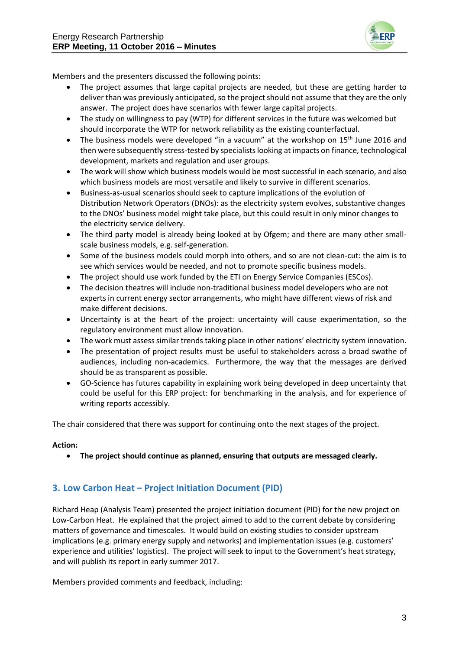

Members and the presenters discussed the following points:

- The project assumes that large capital projects are needed, but these are getting harder to deliver than was previously anticipated, so the project should not assume that they are the only answer. The project does have scenarios with fewer large capital projects.
- The study on willingness to pay (WTP) for different services in the future was welcomed but should incorporate the WTP for network reliability as the existing counterfactual.
- The business models were developed "in a vacuum" at the workshop on  $15<sup>th</sup>$  June 2016 and then were subsequently stress-tested by specialists looking at impacts on finance, technological development, markets and regulation and user groups.
- The work will show which business models would be most successful in each scenario, and also which business models are most versatile and likely to survive in different scenarios.
- Business-as-usual scenarios should seek to capture implications of the evolution of Distribution Network Operators (DNOs): as the electricity system evolves, substantive changes to the DNOs' business model might take place, but this could result in only minor changes to the electricity service delivery.
- The third party model is already being looked at by Ofgem; and there are many other smallscale business models, e.g. self-generation.
- Some of the business models could morph into others, and so are not clean-cut: the aim is to see which services would be needed, and not to promote specific business models.
- The project should use work funded by the ETI on Energy Service Companies (ESCos).
- The decision theatres will include non-traditional business model developers who are not experts in current energy sector arrangements, who might have different views of risk and make different decisions.
- Uncertainty is at the heart of the project: uncertainty will cause experimentation, so the regulatory environment must allow innovation.
- The work must assess similar trends taking place in other nations' electricity system innovation.
- The presentation of project results must be useful to stakeholders across a broad swathe of audiences, including non-academics. Furthermore, the way that the messages are derived should be as transparent as possible.
- GO-Science has futures capability in explaining work being developed in deep uncertainty that could be useful for this ERP project: for benchmarking in the analysis, and for experience of writing reports accessibly.

The chair considered that there was support for continuing onto the next stages of the project.

#### **Action:**

**The project should continue as planned, ensuring that outputs are messaged clearly.**

## **3. Low Carbon Heat – Project Initiation Document (PID)**

Richard Heap (Analysis Team) presented the project initiation document (PID) for the new project on Low-Carbon Heat. He explained that the project aimed to add to the current debate by considering matters of governance and timescales. It would build on existing studies to consider upstream implications (e.g. primary energy supply and networks) and implementation issues (e.g. customers' experience and utilities' logistics). The project will seek to input to the Government's heat strategy, and will publish its report in early summer 2017.

Members provided comments and feedback, including: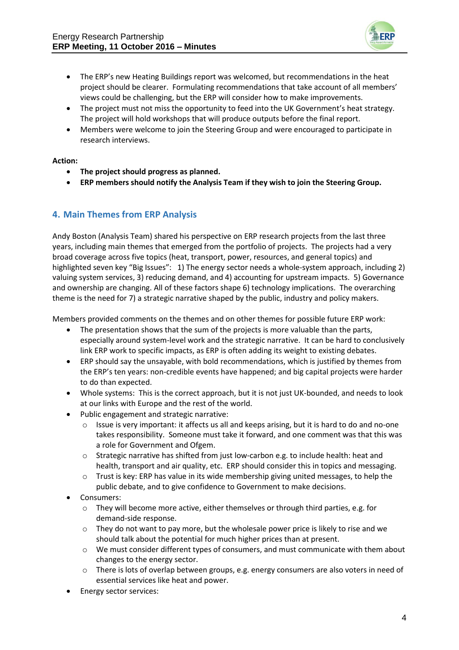

- The ERP's new Heating Buildings report was welcomed, but recommendations in the heat project should be clearer. Formulating recommendations that take account of all members' views could be challenging, but the ERP will consider how to make improvements.
- The project must not miss the opportunity to feed into the UK Government's heat strategy. The project will hold workshops that will produce outputs before the final report.
- Members were welcome to join the Steering Group and were encouraged to participate in research interviews.

#### **Action:**

- **The project should progress as planned.**
- **ERP members should notify the Analysis Team if they wish to join the Steering Group.**

### **4. Main Themes from ERP Analysis**

Andy Boston (Analysis Team) shared his perspective on ERP research projects from the last three years, including main themes that emerged from the portfolio of projects. The projects had a very broad coverage across five topics (heat, transport, power, resources, and general topics) and highlighted seven key "Big Issues": 1) The energy sector needs a whole-system approach, including 2) valuing system services, 3) reducing demand, and 4) accounting for upstream impacts. 5) Governance and ownership are changing. All of these factors shape 6) technology implications. The overarching theme is the need for 7) a strategic narrative shaped by the public, industry and policy makers.

Members provided comments on the themes and on other themes for possible future ERP work:

- The presentation shows that the sum of the projects is more valuable than the parts, especially around system-level work and the strategic narrative. It can be hard to conclusively link ERP work to specific impacts, as ERP is often adding its weight to existing debates.
- ERP should say the unsayable, with bold recommendations, which is justified by themes from the ERP's ten years: non-credible events have happened; and big capital projects were harder to do than expected.
- Whole systems: This is the correct approach, but it is not just UK-bounded, and needs to look at our links with Europe and the rest of the world.
- Public engagement and strategic narrative:
	- $\circ$  Issue is very important: it affects us all and keeps arising, but it is hard to do and no-one takes responsibility. Someone must take it forward, and one comment was that this was a role for Government and Ofgem.
	- $\circ$  Strategic narrative has shifted from just low-carbon e.g. to include health: heat and health, transport and air quality, etc. ERP should consider this in topics and messaging.
	- $\circ$  Trust is key: ERP has value in its wide membership giving united messages, to help the public debate, and to give confidence to Government to make decisions.
- Consumers:
	- $\circ$  They will become more active, either themselves or through third parties, e.g. for demand-side response.
	- $\circ$  They do not want to pay more, but the wholesale power price is likely to rise and we should talk about the potential for much higher prices than at present.
	- o We must consider different types of consumers, and must communicate with them about changes to the energy sector.
	- o There is lots of overlap between groups, e.g. energy consumers are also voters in need of essential services like heat and power.
- Energy sector services: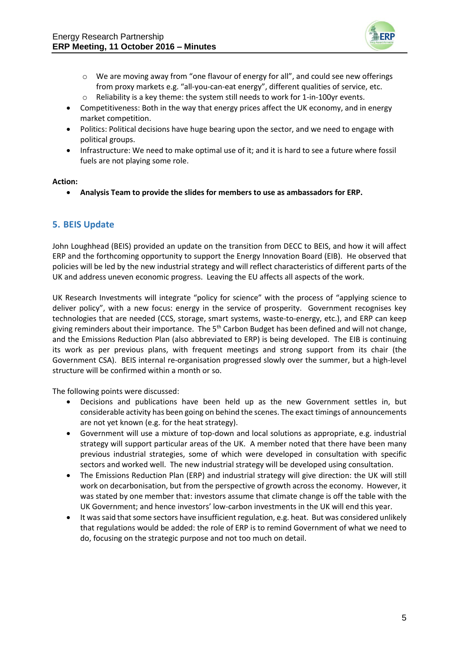

- o We are moving away from "one flavour of energy for all", and could see new offerings from proxy markets e.g. "all-you-can-eat energy", different qualities of service, etc.
- o Reliability is a key theme: the system still needs to work for 1-in-100yr events.
- Competitiveness: Both in the way that energy prices affect the UK economy, and in energy market competition.
- Politics: Political decisions have huge bearing upon the sector, and we need to engage with political groups.
- Infrastructure: We need to make optimal use of it; and it is hard to see a future where fossil fuels are not playing some role.

#### **Action:**

**Analysis Team to provide the slides for members to use as ambassadors for ERP.**

# **5. BEIS Update**

John Loughhead (BEIS) provided an update on the transition from DECC to BEIS, and how it will affect ERP and the forthcoming opportunity to support the Energy Innovation Board (EIB). He observed that policies will be led by the new industrial strategy and will reflect characteristics of different parts of the UK and address uneven economic progress. Leaving the EU affects all aspects of the work.

UK Research Investments will integrate "policy for science" with the process of "applying science to deliver policy", with a new focus: energy in the service of prosperity. Government recognises key technologies that are needed (CCS, storage, smart systems, waste-to-energy, etc.), and ERP can keep giving reminders about their importance. The 5<sup>th</sup> Carbon Budget has been defined and will not change, and the Emissions Reduction Plan (also abbreviated to ERP) is being developed. The EIB is continuing its work as per previous plans, with frequent meetings and strong support from its chair (the Government CSA). BEIS internal re-organisation progressed slowly over the summer, but a high-level structure will be confirmed within a month or so.

The following points were discussed:

- Decisions and publications have been held up as the new Government settles in, but considerable activity has been going on behind the scenes. The exact timings of announcements are not yet known (e.g. for the heat strategy).
- Government will use a mixture of top-down and local solutions as appropriate, e.g. industrial strategy will support particular areas of the UK. A member noted that there have been many previous industrial strategies, some of which were developed in consultation with specific sectors and worked well. The new industrial strategy will be developed using consultation.
- The Emissions Reduction Plan (ERP) and industrial strategy will give direction: the UK will still work on decarbonisation, but from the perspective of growth across the economy. However, it was stated by one member that: investors assume that climate change is off the table with the UK Government; and hence investors' low-carbon investments in the UK will end this year.
- It was said that some sectors have insufficient regulation, e.g. heat. But was considered unlikely that regulations would be added: the role of ERP is to remind Government of what we need to do, focusing on the strategic purpose and not too much on detail.